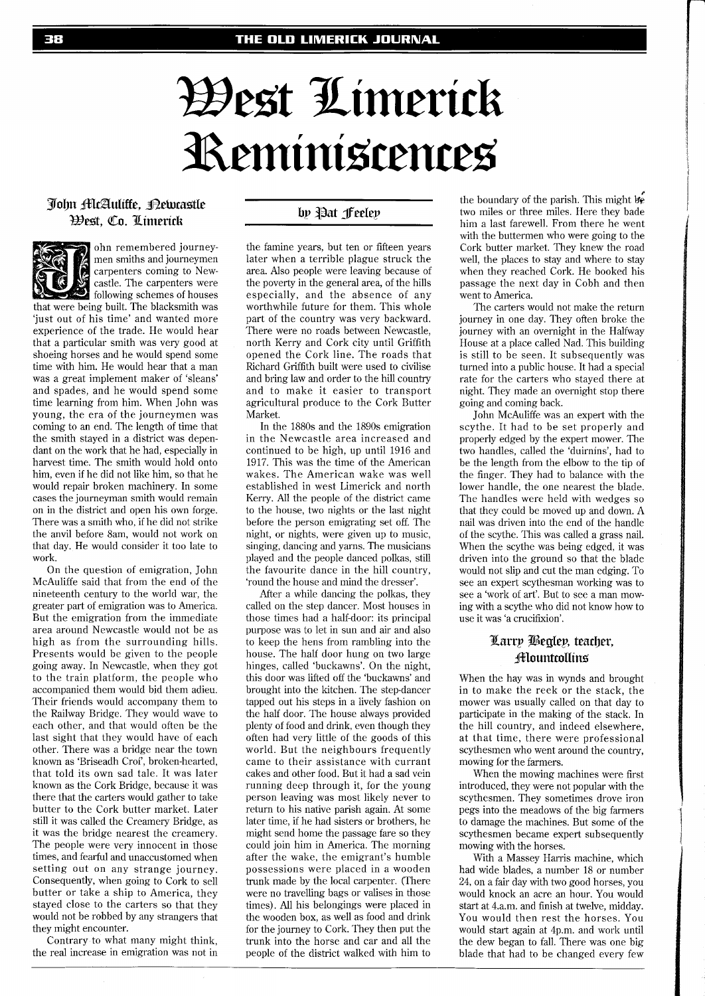# West Limerick Reministences

## John McAulitte, Rewastle West, Co. Limerick



ohn remembered journeymen smiths and journeymen carpenters coming to Newcastle. The carpenters were following schemes of houses

that were being built. The blacksmith was 'just out of his time' and wanted more experience of the trade. He would hear that a particular smith was very good at shoeing horses and he would spend some time with him. He would hear that a man was a great implement maker of 'sleans' and spades, and he would spend some time learning from him. When John was young, the era of the journeymen was coming to an end. The length of time that the smith stayed in a district was dependant on the work that he had, especially in harvest time. The smith would hold onto him, even if he did not like him, so that he would repair broken machinery. In some cases the journeyman smith would remain on in the district and open his own forge. There was a smith who, if he did not strike the anvil before 8am, would not work on that day. He would consider it too late to work.

On the question of emigration, John McAuliffe said that from the end of the nineteenth century to the world war, the greater part of emigration was to America. But the emigration from the immediate area around Newcastle would not be as high as from the surrounding hills. Presents would be given to the people going away. In Newcastle, when they got to the train platform, the people who accompanied them would bid them adieu. Their friends would accompany them to the Railway Bridge. They would wave to each other, and that would often be the last sight that they would have of each other. There was a bridge near the town known as 'Briseadh Croi', broken-hearted, that told its own sad tale. It was later known as the Cork Bridge, because it was there that the carters would gather to take butter to the Cork butter market. Later still it was called the Creamery Bridge, as it was the bridge nearest the creamery. The people were very innocent in those times, and fearful and unaccustomed when setting out on any strange journey. Consequently, when going to Cork to sell butter or take a ship to America, they stayed close to the carters so that they would not be robbed by any strangers that they might encounter.

Contrary to what many might think, the real increase in emigration was not in

# by Pat feeley

the famine years, but ten or fifteen years later when a terrible plague struck the area. Also people were leaving because of the poverty in the general area, of the hills especially, and the absence of any worthwhile future for them. This whole part of the country was very backward. There were no roads between Newcastle, north Kerry and Cork city until Griffith opened the Cork line. The roads that Richard Griffith built were used to civilise and bring law and order to the hill country and to make it easier to transport agricultural produce to the Cork Butter Market.

In the 1880s and the 1890s emigration in the Newcastle area increased and continued to be high, up until 1916 and 1917. This was the time of the American wakes. The American wake was well established in west Limerick and north Kerry. All the people of the district came to the house, two nights or the last night before the person emigrating set off. The night, or nights, were given up to music, singing, dancing and yarns. The musicians played and the people danced polkas, still the favourite dance in the hill country, 'round the house and mind the dresser'.

After a while dancing the polkas, they called on the step dancer. Most houses in those times had a half-door: its principal purpose was to let in sun and air and also to keep the hens from rambling into the house. The half door hung on two large hinges, called 'buckawns'. On the night, this door was lifted off the 'buckawns' and brought into the kitchen. The step-dancer tapped out his steps in a lively fashion on the half door. The house always provided plenty of food and drink, even though they often had very little of the goods of this world. But the neighbours frequently came to their assistance with currant cakes and other food. But it had a sad vein running deep through it, for the young person leaving was most likely never to return to his native parish again. At some later time, if he had sisters or brothers, he might send home the passage fare so they could join him in America. The morning after the wake, the emigrant's humble possessions were placed in a wooden trunk made by the local carpenter. (There were no travelling bags or valises in those times). All his belongings were placed in the wooden box, as well as food and drink for the journey to Cork. They then put the trunk into the horse and car and all the people of the district walked with him to

the boundary of the parish. This might be two miles or three miles. Here they bade him a last farewell. From there he went with the buttermen who were going to the Cork butter market. They knew the road well, the places to stay and where to stay when they reached Cork. He booked his passage the next day in Cobh and then went to America.

The carters would not make the return journey in one day. They often broke the journey with an overnight in the Halfway House at a place called Nad. This building is still to be seen. It subsequently was turned into a public house. It had a special rate for the carters who stayed there at night. They made an overnight stop there going and coming back.

John McAuliffe was an expert with the scythe. It had to be set properly and properly edged by the expert mower. The two handles, called the 'duirnins', had to be the length from the elbow to the tip of the finger. They had to balance with the lower handle, the one nearest the blade. The handles were held with wedges so that they could be moved up and down. A nail was driven into the end of the handle of the scythe. This was called a grass nail. When the scythe was being edged, it was driven into the ground so that the blade would not slip and cut the man edging. To see an expert scythesman working was to see a 'work of art'. But to see a man mowing with a scythe who did not know how to use it was 'a crucifixion'.

# Larry Begley, teacher, **fflountcollins**

When the hay was in wynds and brought in to make the reek or the stack, the mower was usually called on that day to participate in the making of the stack. In the hill country, and indeed elsewhere, at that time, there were professional scythesmen who went around the country, mowing for the farmers.

When the mowing machines were first introduced, they were not popular with the scythesmen. They sometimes drove iron pegs into the meadows of the big farmers to damage the machines. But some of the scythesmen became expert subsequently mowing with the horses.

With a Massey Harris machine, which had wide blades, a number 18 or number 24, on a fair day with two good horses, you would knock an acre an hour. You would start at 4.a.m. and finish at twelve, midday. You would then rest the horses. You would start again at 4p.m. and work until the dew began to fall. There was one big blade that had to be changed every few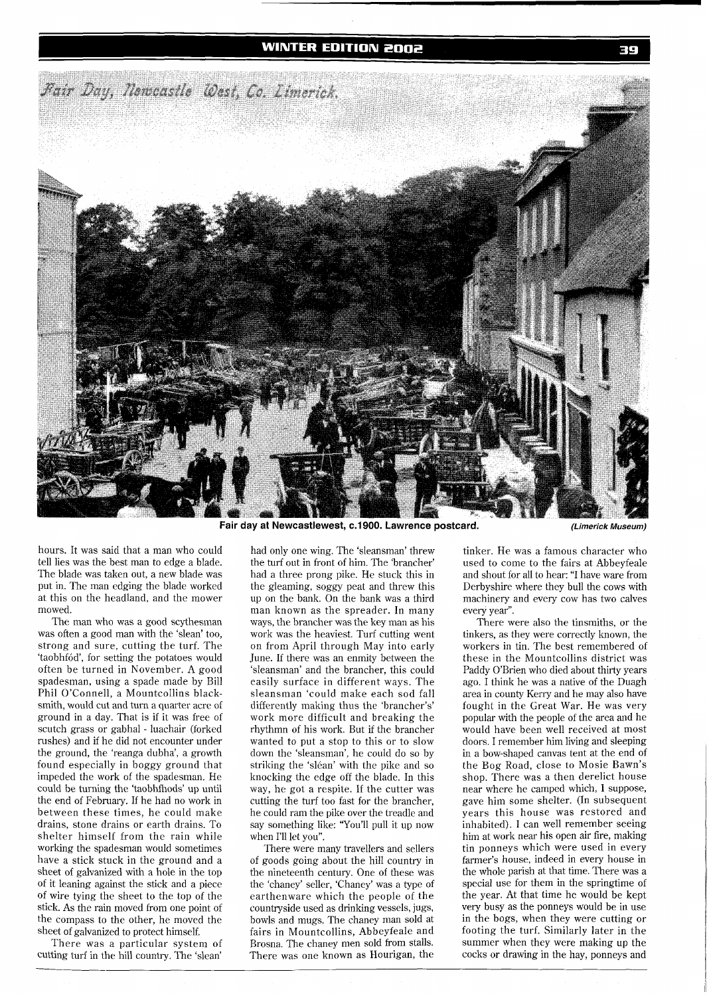### **WINTER EDITION 2002**



Fair day at Newcastlewest, c.1900. Lawrence postcard. *(Limerick Museum)* 

hours. It was said that a man who could tell lies was the best man to edge a blade. The blade was taken out, a new blade was put in. The man edging the blade worked at this on the headland, and the mower mowed.

The man who was a good scythesman was often a good man with the 'slean' too, strong and sure, cutting the turf. The 'taobhfód', for setting the potatoes would often be turned in November. A good spadesman, using a spade made by Bill Phi1 O'Connell, a Mountcollins blacksmith, would cut and turn a quarter acre of ground in a day. That is if it was free of scutch grass or gabhal - luachair (forked rushes) and if he did not encounter under the ground, the 'reanga dubha', a growth found especially in boggy ground that impeded the work of the spadesman. He could be turning the 'taobhfhods' up until the end of February. If he had no work in between these times, he could make drains, stone drains or earth drains. To shelter himself from the rain while working the spadesman would sometimes have a stick stuck in the ground and a sheet of galvanized with a hole in the top of it leaning against the stick and a piece of wire tying the sheet to the top of the stick. As the rain moved from one point of the compass to the other, he moved the sheet of galvanized to protect himself.

There was a particular system of cutting turf in the hill country. The 'slean'

had only one wing. The 'sleansman' threw the turf out in front of him. The 'brancher' had a three prong pike. He stuck this in the gleaming, soggy peat and threw this up on the bank. On the bank was a third man known as the spreader. In many ways, the brancher was the key man as his work was the heaviest. Turf cutting went on from April through May into early June. If there was an enmity between the 'sleansman' and the brancher, this could easily surface in different ways. The sleansman 'could make each sod fall differently making thus the 'brancher's' work more difficult and breaking the rhythmn of his work. But if the brancher wanted to put a stop to this or to slow down the 'sleansman', he could do so by striking the 'sléan' with the pike and so knocking the edge off the blade. In this way, he got a respite. If the cutter was cutting the turf too fast for the brancher, he could ram the pike over the treadle and say something like: 'You'll pull it up now when I'll let you".

There were many travellers and sellers of goods going about the hill country in the nineteenth century. One of these was the 'chaney' seller, 'Chaney' was a type of earthenware which the people of the countryside used as drinking vessels, jugs, bowls and mugs. The chaney man sold at fairs in Mountcollins, Abbeyfeale and Brosna. The chaney men sold from stalls. There was one known as Hourigan, the

tinker. He was a famous character who used to come to the fairs at Abbeyfeale and shout for all to hear: "I have ware from Derbyshire where they bull the cows with machinery and every cow has two calves every year".

There were also the tinsmiths, or the tinkers, as they were correctly known, the workers in tin. The best remembered of these in the Mountcollins district was Paddy O'Brien who died about thirty years ago. I think he was a native of the Duagh area in county Kerry and he may also have fought in the Great War. He was very popular with the people of the area and he would have been well received at most doors. I remember him living and sleeping in a bow-shaped canvas tent at the end of the Bog Road, close to Mosie Bawn's shop. There was a then derelict house near where he camped which, I suppose, gave him some shelter. (In subsequent years this house was restored and inhabited). I can well remember seeing him at work near his open air fire, making tin ponneys which were used in every farmer's house, indeed in every house in the whole parish at that time. There was a special use for them in the springtime of the year. At that time he would be kept very busy as the ponneys would be in use in the bogs, when they were cutting or footing the turf. Similarly later in the summer when they were making up the cocks or drawing in the hay, ponneys and